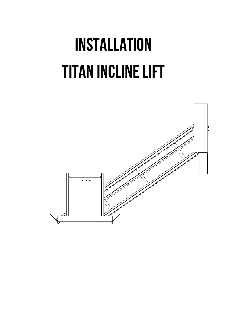# INSTALLATION Titan Incline Lift

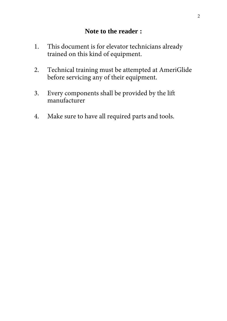- 1. This document is for elevator technicians already trained on this kind of equipment.
- 2. Technical training must be attempted at AmeriGlide before servicing any of their equipment.
- 3. Every components shall be provided by the lift manufacturer
- 4. Make sure to have all required parts and tools.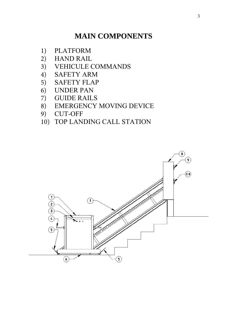# **MAIN COMPONENTS**

- 1) PLATFORM<br>2) HAND RAIL
- 2) HAND RAIL<br>3) VEHICULE O
- 3) VEHICULE COMMANDS<br>4) SAFETY ARM
- SAFETY ARM
- 5) SAFETY FLAP
- 6) UNDER PAN
- 7) GUIDE RAILS
- 8) EMERGENCY MOVING DEVICE<br>9) CUT-OFF
- 9) CUT-OFF
- 10) TOP LANDING CALL STATION

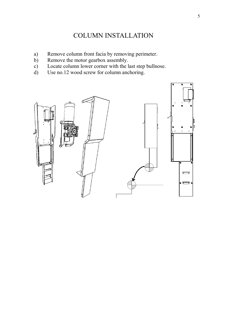## COLUMN INSTALLATION

- a) Remove column front facia by removing perimeter.
- b) Remove the motor gearbox assembly.<br>c) Locate column lower corner with the l
- c) Locate column lower corner with the last step bullnose.<br>
d) Use no.12 wood screw for column anchoring.
- Use no.12 wood screw for column anchoring.

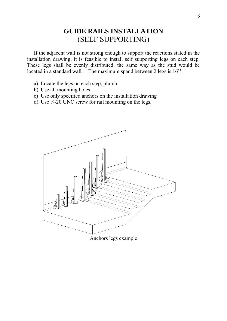## **GUIDE RAILS INSTALLATION**  (SELF SUPPORTING)

If the adjacent wall is not strong enough to support the reactions stated in the installation drawing, it is feasible to install self supporting legs on each step. These legs shall be evenly distributed, the same way as the stud would be located in a standard wall. The maximum spand between 2 legs is 16<sup>"</sup>.

- a) Locate the legs on each step, plumb.
- b) Use all mounting holes
- c) Use only specified anchors on the installation drawing
- d) Use ¼-20 UNC screw for rail mounting on the legs.

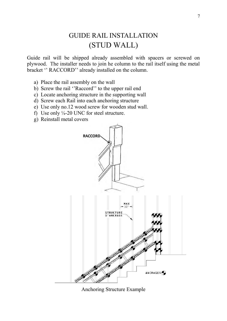# GUIDE RAIL INSTALLATION (STUD WALL)

Guide rail will be shipped already assembled with spacers or screwed on plywood. The installer needs to join he column to the rail itself using the metal bracket '' RACCORD'' already installed on the column.

- a) Place the rail assembly on the wall
- b) Screw the rail ''Raccord'' to the upper rail end
- c) Locate anchoring structure in the supporting wall
- d) Screw each Rail into each anchoring structure
- e) Use only no.12 wood screw for wooden stud wall.
- f) Use only  $\frac{1}{4}$ -20 UNC for steel structure.
- g) Reinstall metal covers



Anchoring Structure Example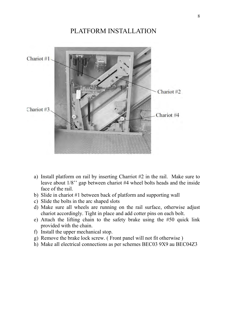## PLATFORM INSTALLATION



- a) Install platform on rail by inserting Charriot #2 in the rail. Make sure to leave about 1/8'' gap between chariot #4 wheel bolts heads and the inside face of the rail.
- b) Slide in chariot #1 between back of platform and supporting wall
- c) Slide the bolts in the arc shaped slots
- d) Make sure all wheels are running on the rail surface, otherwise adjust chariot accordingly. Tight in place and add cotter pins on each bolt.
- e) Attach the lifting chain to the safety brake using the #50 quick link provided with the chain.
- f) Install the upper mechanical stop.
- g) Remove the brake lock screw. ( Front panel will not fit otherwise )
- h) Make all electrical connections as per schemes BEC03 9X9 au BEC04Z3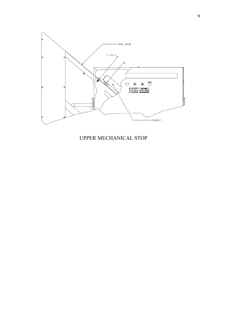

UPPER MECHANICAL STOP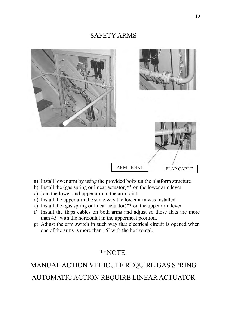## SAFETY ARMS



- a) Install lower arm by using the provided bolts un the platform structure
- b) Install the (gas spring or linear actuator)\*\* on the lower arm lever
- c) Join the lower and upper arm in the arm joint
- d) Install the upper arm the same way the lower arm was installed
- e) Install the (gas spring or linear actuator)\*\* on the upper arm lever
- f) Install the flaps cables on both arms and adjust so those flats are more than 45˚ with the horizontal in the uppermost position.
- g) Adjust the arm switch in such way that electrical circuit is opened when one of the arms is more than 15˚ with the horizontal.

## \*\*NOTE:

# MANUAL ACTION VEHICULE REQUIRE GAS SPRING AUTOMATIC ACTION REQUIRE LINEAR ACTUATOR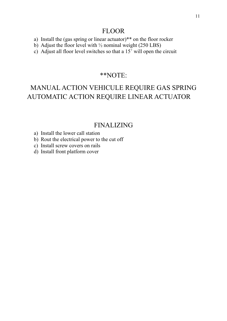### FLOOR

- a) Install the (gas spring or linear actuator)\*\* on the floor rocker
- b) Adjust the floor level with  $\frac{1}{2}$  nominal weight (250 LBS)
- c) Adjust all floor level switches so that a 15˚ will open the circuit

### \*\*NOTE:

# MANUAL ACTION VEHICULE REQUIRE GAS SPRING AUTOMATIC ACTION REQUIRE LINEAR ACTUATOR

## FINALIZING

- a) Install the lower call station
- b) Rout the electrical power to the cut off
- c) Install screw covers on rails
- d) Install front platform cover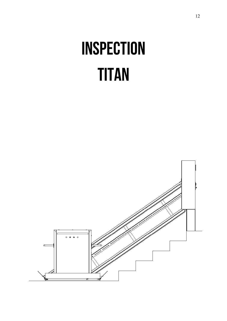# INSPECTION **TITAN**

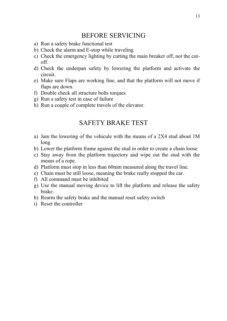## BEFORE SERVICING

- a) Run a safety brake functional test
- b) Check the alarm and E-stop while traveling
- c) Check the emergency lighting by cutting the main breaker off, not the cutoff.
- d) Check the underpan safety by lowering the platform and activate the circuit.
- e) Make sure Flaps are working fine, and that the platform will not move if flaps are down.
- f) Double check all structure bolts torques
- g) Run a safety test in case of failure
- h) Run a couple of complete travels of the elevator.

### SAFETY BRAKE TEST

- a) Jam the lowering of the vehicule with the means of a 2X4 stud about 1M long
- b) Lower the platform frame against the stud in order to create a chain loose
- c) Stay away from the platform trajectory and wipe out the stud with the means of a rope.
- d) Platform must stop in less than 60mm measured along the travel line.
- e) Chain must be still loose, meaning the brake really stopped the car.
- f) All command must be inhibited
- g) Use the manual moving device to lift the platform and release the safety brake.
- h) Rearm the safety brake and the manual reset safety switch
- i) Reset the controller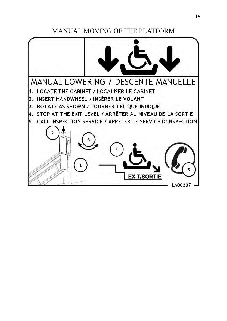MANUAL MOVING OF THE PLATFORM

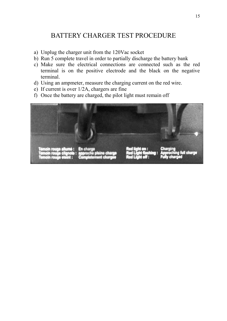## BATTERY CHARGER TEST PROCEDURE

- a) Unplug the charger unit from the 120Vac socket
- b) Run 5 complete travel in order to partially discharge the battery bank
- c) Make sure the electrical connections are connected such as the red terminal is on the positive electrode and the black on the negative terminal.
- d) Using an ampmeter, measure the charging current on the red wire.
- e) If current is over 1/2A, chargers are fine
- f) Once the battery are charged, the pilot light must remain off

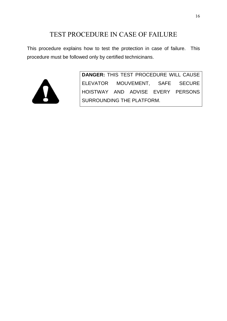## TEST PROCEDURE IN CASE OF FAILURE

This procedure explains how to test the protection in case of failure. This procedure must be followed only by certified technicinans.



**DANGER:** THIS TEST PROCEDURE WILL CAUSE ELEVATOR MOUVEMENT, SAFE SECURE HOISTWAY AND ADVISE EVERY PERSONS SURROUNDING THE PLATFORM.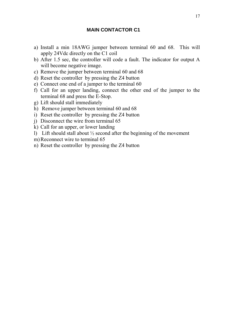#### **MAIN CONTACTOR C1**

- a) Install a min 18AWG jumper between terminal 60 and 68. This will apply 24Vdc directly on the C1 coil
- b) After 1.5 sec, the controller will code a fault. The indicator for output A will become negative image.
- c) Remove the jumper between terminal 60 and 68
- d) Reset the controller by pressing the Z4 button
- e) Connect one end of a jumper to the terminal 60
- f) Call for an upper landing, connect the other end of the jumper to the terminal 68 and press the E-Stop.
- g) Lift should stall immediately
- h) Remove jumper between terminal 60 and 68
- i) Reset the controller by pressing the Z4 button
- j) Disconnect the wire from terminal 65
- k) Call for an upper, or lower landing
- l) Lift should stall about ½ second after the beginning of the movement
- m) Reconnect wire to terminal 65
- n) Reset the controller by pressing the Z4 button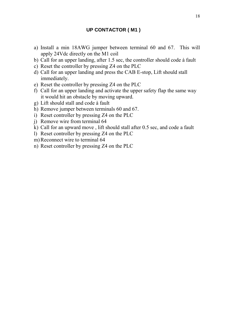- a) Install a min 18AWG jumper between terminal 60 and 67. This will apply 24Vdc directly on the M1 coil
- b) Call for an upper landing, after 1.5 sec, the controller should code à fault
- c) Reset the controller by pressing Z4 on the PLC
- d) Call for an upper landing and press the CAB E-stop, Lift should stall immediately.
- e) Reset the controller by pressing Z4 on the PLC
- f) Call for an upper landing and activate the upper safety flap the same way it would hit an obstacle by moving upward.
- g) Lift should stall and code à fault
- h) Remove jumper between terminals 60 and 67.
- i) Reset controller by pressing Z4 on the PLC
- j) Remove wire from terminal 64
- k) Call for an upward move , lift should stall after 0.5 sec, and code a fault
- l) Reset controller by pressing Z4 on the PLC
- m)Reconnect wire to terminal 64
- n) Reset controller by pressing Z4 on the PLC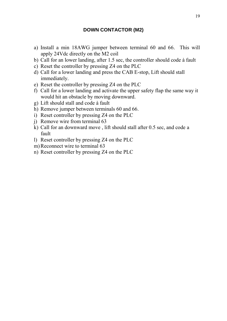#### **DOWN CONTACTOR (M2)**

- a) Install a min 18AWG jumper between terminal 60 and 66. This will apply 24Vdc directly on the M2 coil
- b) Call for an lower landing, after 1.5 sec, the controller should code à fault
- c) Reset the controller by pressing Z4 on the PLC
- d) Call for a lower landing and press the CAB E-stop, Lift should stall immediately.
- e) Reset the controller by pressing Z4 on the PLC
- f) Call for a lower landing and activate the upper safety flap the same way it would hit an obstacle by moving downward.
- g) Lift should stall and code à fault
- h) Remove jumper between terminals 60 and 66.
- i) Reset controller by pressing Z4 on the PLC
- j) Remove wire from terminal 63
- k) Call for an downward move , lift should stall after 0.5 sec, and code a fault
- l) Reset controller by pressing Z4 on the PLC
- m) Reconnect wire to terminal 63
- n) Reset controller by pressing Z4 on the PLC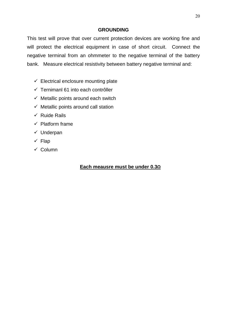#### **GROUNDING**

This test will prove that over current protection devices are working fine and will protect the electrical equipment in case of short circuit. Connect the negative terminal from an ohmmeter to the negative terminal of the battery bank. Measure electrical resistivity between battery negative terminal and:

- $\checkmark$  Electrical enclosure mounting plate
- $\checkmark$  Ternimanl 61 into each contrôller
- $\checkmark$  Metallic points around each switch
- $\checkmark$  Metallic points around call station
- $\checkmark$  Ruide Rails
- $\checkmark$  Platform frame
- $\checkmark$  Underpan
- $\checkmark$  Flap
- $\checkmark$  Column

#### **Each meausre must be under 0.3Ω**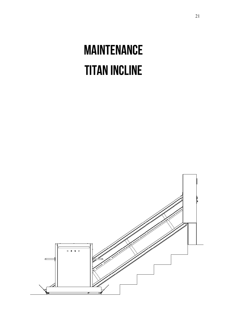# MAINTENANCE Titan Incline

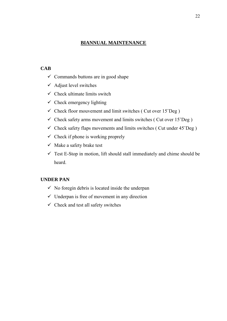#### **BIANNUAL MAINTENANCE**

#### **CAB**

- $\checkmark$  Commands buttons are in good shape
- $\checkmark$  Adjust level switches
- $\checkmark$  Check ultimate limits switch
- $\checkmark$  Check emergency lighting
- $\checkmark$  Check floor mouvement and limit switches ( Cut over 15°Deg )
- $\checkmark$  Check safety arms movement and limits switches (Cut over 15°Deg)
- $\checkmark$  Check safety flaps movements and limits switches (Cut under 45°Deg)
- $\checkmark$  Check if phone is working proprely
- $\checkmark$  Make a safety brake test
- $\checkmark$  Test E-Stop in motion, lift should stall immediately and chime should be heard.

#### **UNDER PAN**

- $\checkmark$  No foregin debris is located inside the underpan
- $\checkmark$  Underpan is free of movement in any direction
- $\checkmark$  Check and test all safety switches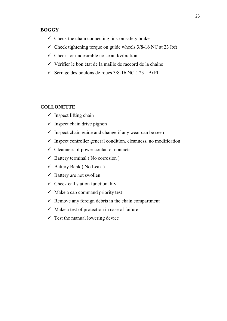#### **BOGGY**

- $\checkmark$  Check the chain connecting link on safety brake
- $\checkmark$  Check tightening torque on guide wheels 3/8-16 NC at 23 lbft
- $\checkmark$  Check for undesirable noise and/vibration
- $\checkmark$  Vérifier le bon état de la maille de raccord de la chaîne
- $\checkmark$  Serrage des boulons de roues 3/8-16 NC à 23 LBxPI

#### **COLLONETTE**

- $\checkmark$  Inspect lifting chain
- $\checkmark$  Inspect chain drive pignon
- $\checkmark$  Inspect chain guide and change if any wear can be seen
- $\checkmark$  Inspect controller general condition, cleanness, no modification
- $\checkmark$  Cleanness of power contactor contacts
- $\checkmark$  Battery terminal (No corrosion)
- $\checkmark$  Battery Bank (No Leak)
- $\checkmark$  Battery are not swollen
- $\checkmark$  Check call station functionality
- $\checkmark$  Make a cab command priority test
- $\checkmark$  Remove any foreign debris in the chain compartment
- $\checkmark$  Make a test of protection in case of failure
- $\checkmark$  Test the manual lowering device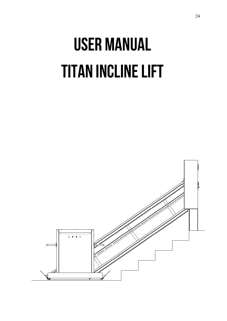# USER MANUAL Titan Incline Lift

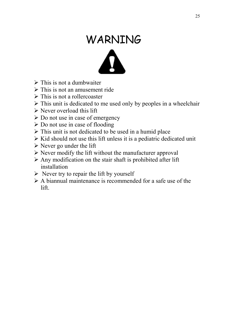# WARNING



- $\triangleright$  This is not a dumbwaiter
- $\triangleright$  This is not an amusement ride
- $\triangleright$  This is not a roller coaster
- $\triangleright$  This unit is dedicated to me used only by peoples in a wheelchair
- $\triangleright$  Never overload this lift
- $\triangleright$  Do not use in case of emergency
- Do not use in case of flooding
- $\triangleright$  This unit is not dedicated to be used in a humid place
- $\triangleright$  Kid should not use this lift unless it is a pediatric dedicated unit
- $\triangleright$  Never go under the lift
- $\triangleright$  Never modify the lift without the manufacturer approval
- $\triangleright$  Any modification on the stair shaft is prohibited after lift installation
- $\triangleright$  Never try to repair the lift by yourself
- $\triangleright$  A biannual maintenance is recommended for a safe use of the lift.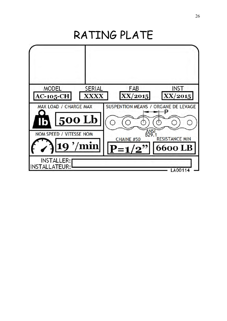RATING PLATE

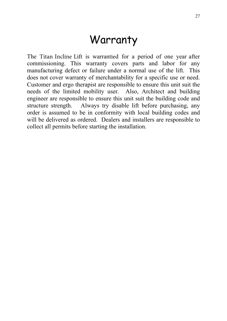# Warranty

The Titan Incline Lift is warrantied for a period of one year after commissioning. This warranty covers parts and labor for any manufacturing defect or failure under a normal use of the lift. This does not cover warranty of merchantability for a specific use or need. Customer and ergo therapist are responsible to ensure this unit suit the needs of the limited mobility user. Also, Architect and building engineer are responsible to ensure this unit suit the building code and structure strength. Always try disable lift before purchasing, any order is assumed to be in conformity with local building codes and will be delivered as ordered. Dealers and installers are responsible to collect all permits before starting the installation.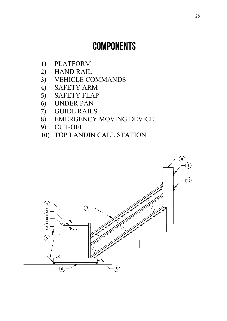# **COMPONENTS**

- 1) PLATFORM
- 2) HAND RAIL<br>3) VEHICLE CO
- 3) VEHICLE COMMANDS<br>4) SAFETY ARM
- 4) SAFETY ARM<br>5) SAFETY FLAP
- 5) SAFETY FLAP<br>6) UNDER PAN
- 6) UNDER PAN
- 7) GUIDE RAILS
- 8) EMERGENCY MOVING DEVICE<br>9) CUT-OFF
- 9) CUT-OFF
- 10) TOP LANDIN CALL STATION

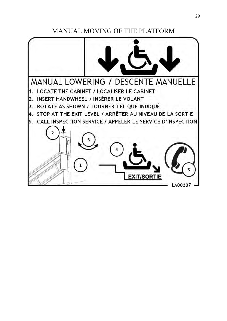MANUAL MOVING OF THE PLATFORM

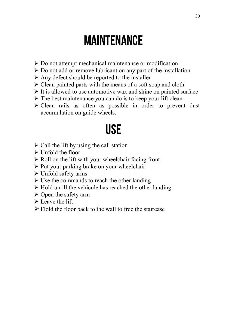# MAINTENANCE

- $\triangleright$  Do not attempt mechanical maintenance or modification
- $\triangleright$  Do not add or remove lubricant on any part of the installation
- $\triangleright$  Any defect should be reported to the installer
- $\triangleright$  Clean painted parts with the means of a soft soap and cloth
- $\triangleright$  It is allowed to use automotive wax and shine on painted surface
- $\triangleright$  The best maintenance you can do is to keep your lift clean
- $\triangleright$  Clean rails as often as possible in order to prevent dust accumulation on guide wheels.

# USE

- $\triangleright$  Call the lift by using the call station
- $\triangleright$  Unfold the floor
- $\triangleright$  Roll on the lift with your wheelchair facing front
- $\triangleright$  Put your parking brake on your wheelchair
- $\triangleright$  Unfold safety arms
- $\triangleright$  Use the commands to reach the other landing
- $\triangleright$  Hold untill the vehicule has reached the other landing
- $\triangleright$  Open the safety arm
- $\triangleright$  Leave the lift
- $\triangleright$  Flold the floor back to the wall to free the staircase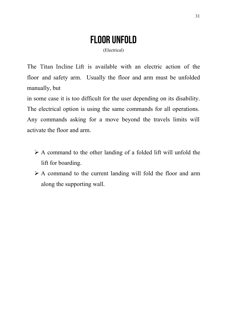# FLOOR UNFOLD

(Electrical)

The Titan Incline Lift is available with an electric action of the floor and safety arm. Usually the floor and arm must be unfolded manually, but

in some case it is too difficult for the user depending on its disability. The electrical option is using the same commands for all operations. Any commands asking for a move beyond the travels limits will activate the floor and arm.

- $\triangleright$  A command to the other landing of a folded lift will unfold the lift for boarding.
- $\triangleright$  A command to the current landing will fold the floor and arm along the supporting wall.